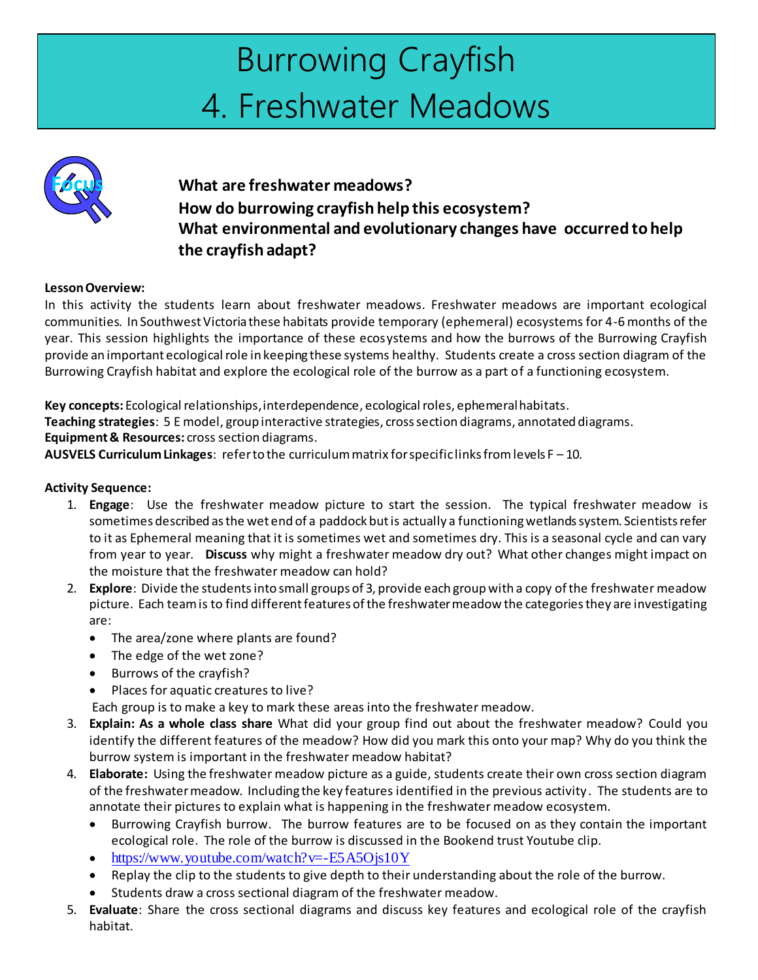# Burrowing Crayfish 4. Freshwater Meadows



### **Focus What are freshwater meadows? How do burrowing crayfish help this ecosystem? What environmental and evolutionary changes have occurred to help the crayfish adapt?**

#### **Lesson Overview:**

In this activity the students learn about freshwater meadows. Freshwater meadows are important ecological communities. In Southwest Victoria these habitats provide temporary (ephemeral) ecosystems for 4-6 months of the year. This session highlights the importance of these ecosystems and how the burrows of the Burrowing Crayfish provide an important ecological role in keeping these systems healthy. Students create a cross section diagram of the Burrowing Crayfish habitat and explore the ecological role of the burrow as a part of a functioning ecosystem.

**Key concepts:** Ecological relationships, interdependence, ecological roles, ephemeral habitats. **Teaching strategies**: 5 E model, group interactive strategies, cross section diagrams, annotated diagrams. **Equipment & Resources:** cross section diagrams.

**AUSVELS Curriculum Linkages**: refer to the curriculum matrix for specific links from levels F – 10.

#### **Activity Sequence:**

- 1. **Engage**: Use the freshwater meadow picture to start the session. The typical freshwater meadow is sometimes described as the wet end of a paddock but is actually a functioning wetlands system. Scientists refer to it as Ephemeral meaning that it is sometimes wet and sometimes dry. This is a seasonal cycle and can vary from year to year. **Discuss** why might a freshwater meadow dry out? What other changes might impact on the moisture that the freshwater meadow can hold?
- 2. **Explore**: Divide the studentsinto small groups of 3, provide each group with a copy of the freshwater meadow picture. Each team is to find different features of the freshwater meadow the categories they are investigating are:
	- The area/zone where plants are found?
	- The edge of the wet zone?
	- Burrows of the crayfish?
	- Places for aquatic creatures to live?

Each group is to make a key to mark these areas into the freshwater meadow.

- 3. **Explain: As a whole class share** What did your group find out about the freshwater meadow? Could you identify the different features of the meadow? How did you mark this onto your map? Why do you think the burrow system is important in the freshwater meadow habitat?
- 4. **Elaborate:** Using the freshwater meadow picture as a guide, students create their own cross section diagram of the freshwater meadow. Including the key features identified in the previous activity . The students are to annotate their pictures to explain what is happening in the freshwater meadow ecosystem.
	- Burrowing Crayfish burrow. The burrow features are to be focused on as they contain the important ecological role. The role of the burrow is discussed in the Bookend trust Youtube clip.
	- $\bullet$  <https://www.youtube.com/watch?v=-E5A5Ojs10Y>
	- Replay the clip to the students to give depth to their understanding about the role of the burrow.
	- Students draw a cross sectional diagram of the freshwater meadow.
- 5. **Evaluate**: Share the cross sectional diagrams and discuss key features and ecological role of the crayfish habitat.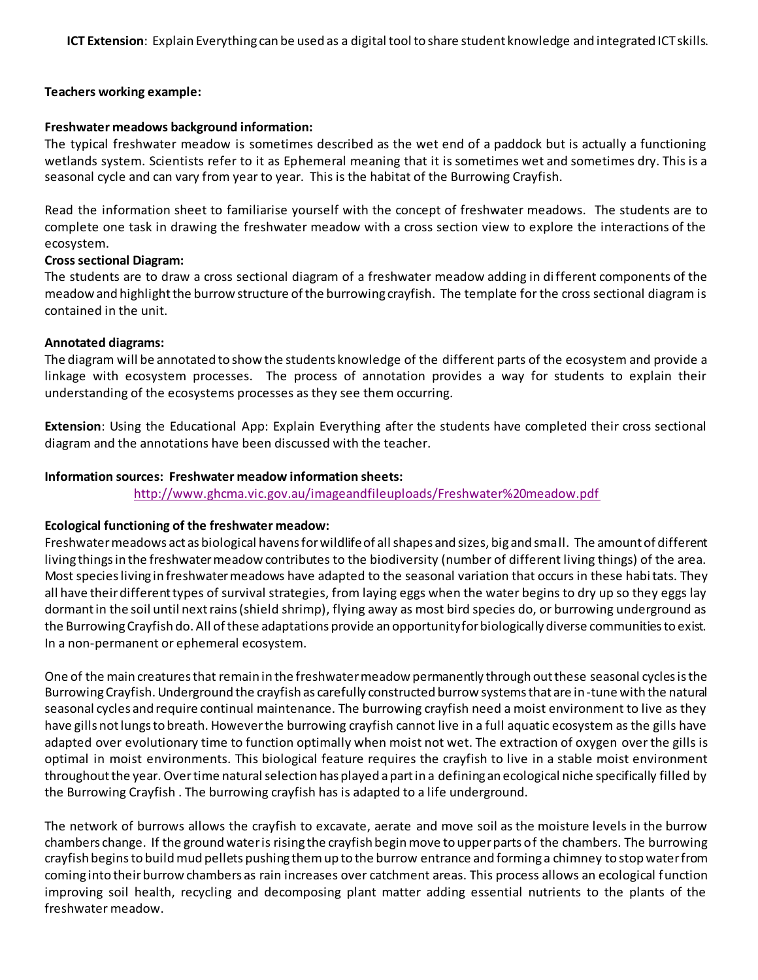**ICT Extension**: Explain Everything can be used as a digital tool to share student knowledge and integrated ICT skills.

#### **Teachers working example:**

#### **Freshwater meadows background information:**

The typical freshwater meadow is sometimes described as the wet end of a paddock but is actually a functioning wetlands system. Scientists refer to it as Ephemeral meaning that it is sometimes wet and sometimes dry. This is a seasonal cycle and can vary from year to year. This is the habitat of the Burrowing Crayfish.

Read the information sheet to familiarise yourself with the concept of freshwater meadows. The students are to complete one task in drawing the freshwater meadow with a cross section view to explore the interactions of the ecosystem.

#### **Cross sectional Diagram:**

The students are to draw a cross sectional diagram of a freshwater meadow adding in different components of the meadow and highlight the burrow structure of the burrowing crayfish. The template for the cross sectional diagram is contained in the unit.

#### **Annotated diagrams:**

The diagram will be annotated to show the students knowledge of the different parts of the ecosystem and provide a linkage with ecosystem processes. The process of annotation provides a way for students to explain their understanding of the ecosystems processes as they see them occurring.

**Extension**: Using the Educational App: Explain Everything after the students have completed their cross sectional diagram and the annotations have been discussed with the teacher.

#### **Information sources: Freshwater meadow information sheets:**

[http://www.ghcma.vic.gov.au/imageandfileuploads/Freshwater%20meadow.p](http://www.ghcma.vic.gov.au/imageandfileuploads/Freshwater%20meadow.pdf)df

#### **Ecological functioning of the freshwater meadow:**

Freshwater meadows act as biological havens for wildlife of all shapes and sizes, big and small. The amount of different living things in the freshwater meadow contributes to the biodiversity (number of different living things) of the area. Most species living in freshwater meadows have adapted to the seasonal variation that occurs in these habitats. They all have their different types of survival strategies, from laying eggs when the water begins to dry up so they eggs lay dormant in the soil until next rains (shield shrimp), flying away as most bird species do, or burrowing underground as the Burrowing Crayfish do. All of these adaptations provide an opportunity for biologically diverse communities to exist. In a non-permanent or ephemeral ecosystem.

One of the main creatures that remain in the freshwater meadow permanently through out these seasonal cycles is the Burrowing Crayfish. Underground the crayfish as carefully constructed burrow systems that are in-tune with the natural seasonal cycles and require continual maintenance. The burrowing crayfish need a moist environment to live as they have gills not lungs to breath. However the burrowing crayfish cannot live in a full aquatic ecosystem as the gills have adapted over evolutionary time to function optimally when moist not wet. The extraction of oxygen over the gills is optimal in moist environments. This biological feature requires the crayfish to live in a stable moist environment throughout the year. Overtime natural selection has played a part in a defining an ecological niche specifically filled by the Burrowing Crayfish . The burrowing crayfish has is adapted to a life underground.

The network of burrows allows the crayfish to excavate, aerate and move soil as the moisture levels in the burrow chambers change. If the ground water is rising the crayfish begin move to upper parts of the chambers. The burrowing crayfish begins to buildmud pellets pushing them up to the burrow entrance and forming a chimney to stop water from coming into their burrow chambers as rain increases over catchment areas. This process allows an ecological function improving soil health, recycling and decomposing plant matter adding essential nutrients to the plants of the freshwater meadow.